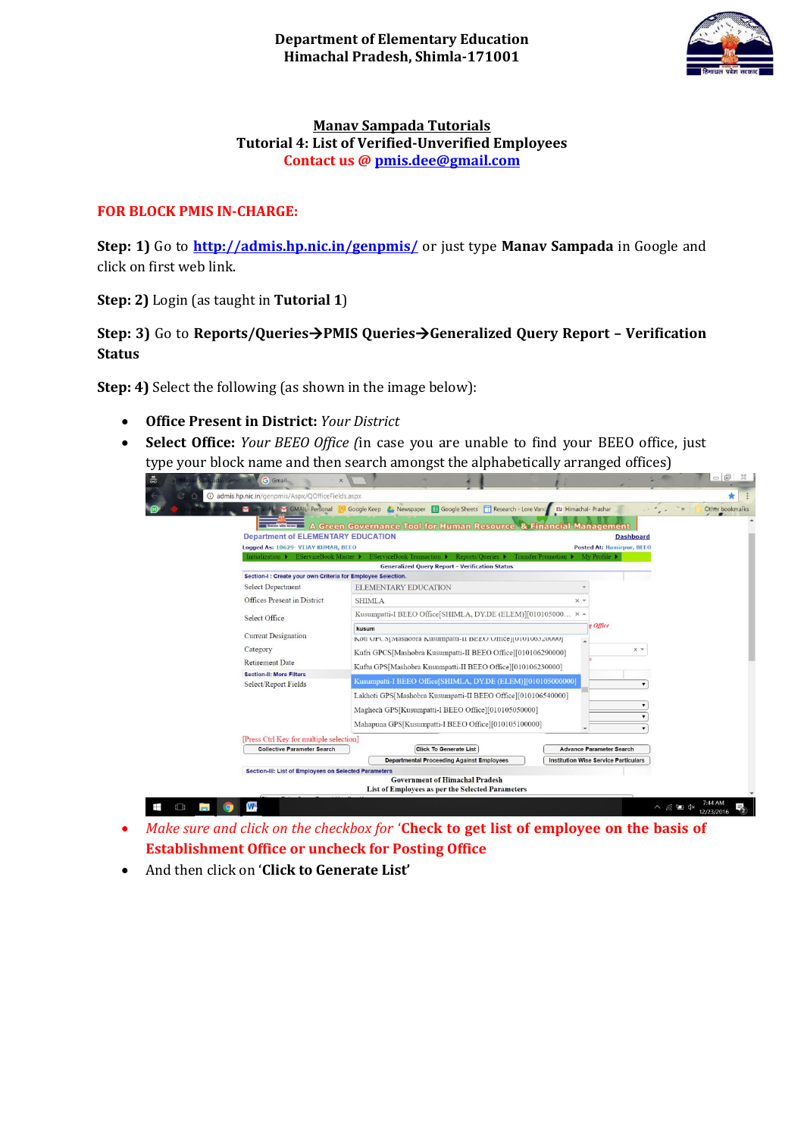

## **Manav Sampada Tutorials Tutorial 4: List of Verified-Unverified Employees Contact us [@ pmis.dee@gmail.com](mailto:pmis.dee@gmail.com)**

## **FOR BLOCK PMIS IN-CHARGE:**

**Step: 1)** Go to **<http://admis.hp.nic.in/genpmis/>** or just type **Manav Sampada** in Google and click on first web link.

**Step: 2)** Login (as taught in **Tutorial 1**)

**Step: 3)** Go to **Reports/QueriesPMIS QueriesGeneralized Query Report – Verification Status**

**Step: 4)** Select the following (as shown in the image below):

- **Office Present in District:** *Your District*
- **Select Office:** *Your BEEO Office (*in case you are unable to find your BEEO office, just type your block name and then search amongst the alphabetically arranged offices)

| 흚<br><b>G</b> Gmail                                                               |                                                                                                                                                                                                  | $\Box$<br>23                                                                             |
|-----------------------------------------------------------------------------------|--------------------------------------------------------------------------------------------------------------------------------------------------------------------------------------------------|------------------------------------------------------------------------------------------|
| <b>W</b> admis.hp.nic.in/genpmis/Aspx/QOfficeFields.aspx                          |                                                                                                                                                                                                  |                                                                                          |
|                                                                                   | Somail-FL M GMAIL- Personal <b>8</b> Google Keep <b>8</b> Newspaper <b>E Google Sheets T</b> Research - Lore Vanc                                                                                | 00 Himachal- Prashar<br>Other bookmarks                                                  |
| <b>Department of ELEMENTARY EDUCATION</b><br>Logged As: 10629- VIJAY KUMAR, BEEO  | <b>Legislation</b> A Green Governance Tool for Human Resource & Financial Management<br>Initialization ▶ EServiceBook Master ▶ EServiceBook Transaction ▶ Reports/Queries ▶ Transfer/Promotion ▶ | <b>Dashboard</b><br><b>Posted At: Hamirpur, BEEO</b><br>My Profile $\blacktriangleright$ |
|                                                                                   | <b>Generalized Query Report - Verification Status</b>                                                                                                                                            |                                                                                          |
| Section-I : Create your own Criteria for Employee Selection.<br>Select Department | <b>ELEMENTARY EDUCATION</b>                                                                                                                                                                      |                                                                                          |
| Offices Present in District                                                       | <b>SHIMLA</b>                                                                                                                                                                                    | $\times$ $\times$                                                                        |
| Select Office                                                                     | Kusumpatti-I BEEO Office[SHIMLA, DY.DE (ELEM)][010105000 × 4                                                                                                                                     |                                                                                          |
| <b>Current Designation</b>                                                        | kusum<br>KOU UPUS[Masnoora Kusumpatti-II BEEU UIIIce][010100320000]                                                                                                                              | g Office                                                                                 |
| Category                                                                          | Kufri GPCS[Mashobra Kusumpatti-II BEEO Office][010106290000]                                                                                                                                     | $\times$ $\times$                                                                        |
| <b>Retirement Date</b>                                                            | Kuftu GPS[Mashobra Kusumpatti-II BEEO Office][010106230000]                                                                                                                                      |                                                                                          |
| <b>Section-II: More Filters</b>                                                   | Kusumpatti-I BEEO Office[SHIMLA, DY.DE (ELEM)][010105000000]                                                                                                                                     |                                                                                          |
| Select/Report Fields                                                              | Lakhoti GPS[Mashobra Kusumpatti-II BEEO Office][010106540000]<br>Maghech GPS[Kusumpatti-I BEEO Office][010105050000]<br>Mahapuna GPS[Kusumpatti-I BEEO Office][010105100000]                     |                                                                                          |
| [Press Ctrl Key for multiple selection]                                           |                                                                                                                                                                                                  |                                                                                          |
| <b>Collective Parameter Search</b>                                                | <b>Click To Generate List</b>                                                                                                                                                                    | <b>Advance Parameter Search</b>                                                          |
|                                                                                   | <b>Departmental Proceeding Against Employees</b>                                                                                                                                                 | <b>Institution Wise Service Particulars</b>                                              |
| Section-III: List of Employees on Selected Parameters                             | <b>Government of Himachal Pradesh</b><br>List of Employees as per the Selected Parameters                                                                                                        |                                                                                          |
| W.                                                                                |                                                                                                                                                                                                  | $\wedge$ $6$ $\Box$ $4x$                                                                 |

- *Make sure and click on the checkbox for* '**Check to get list of employee on the basis of Establishment Office or uncheck for Posting Office**
- And then click on '**Click to Generate List'**